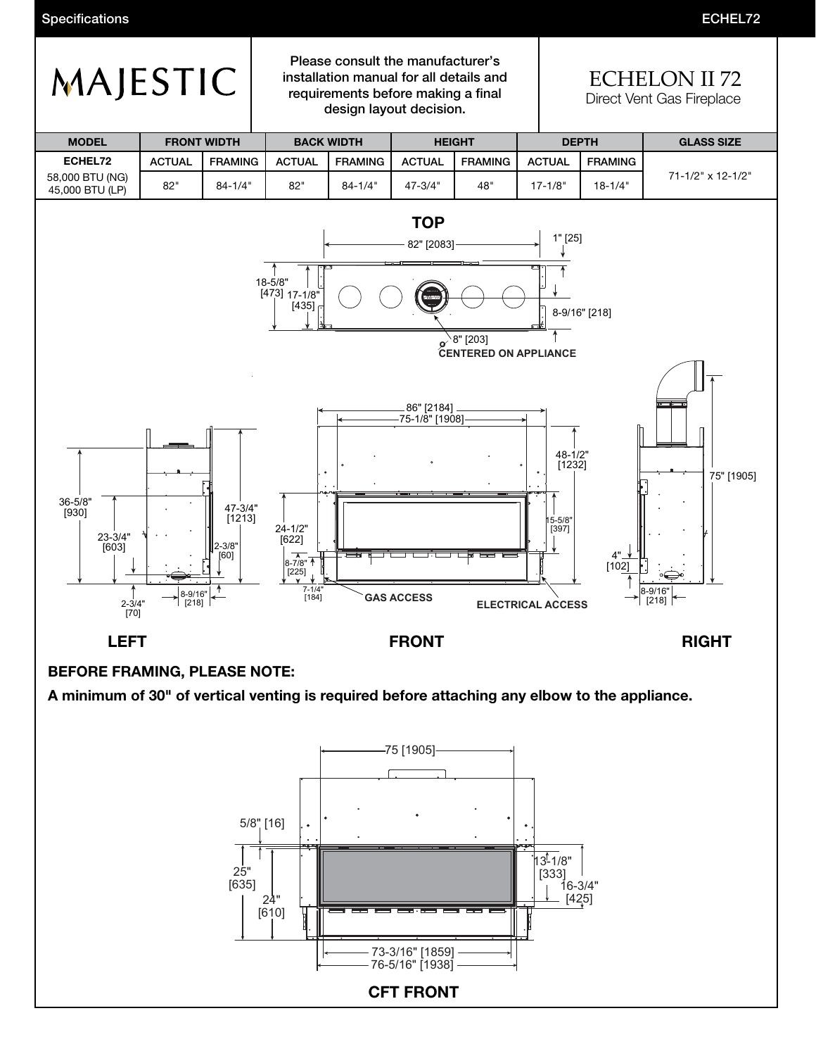